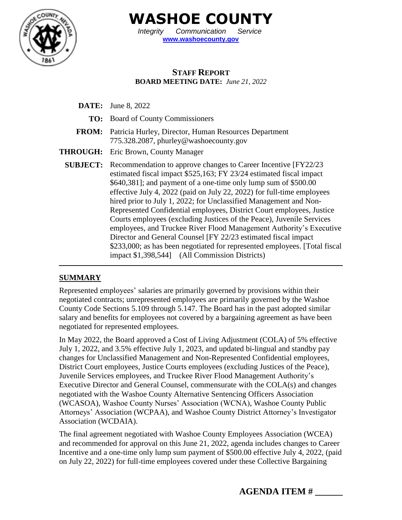

**WASHOE COUNTY**

*Integrity Communication Service* **[www.washoecounty.gov](http://www.washoecounty.gov/)**

### **STAFF REPORT BOARD MEETING DATE:** *June 21, 2022*

- **DATE:** June 8, 2022
	- **TO:** Board of County Commissioners
- **FROM:** Patricia Hurley, Director, Human Resources Department 775.328.2087, phurley@washoecounty.gov
- **THROUGH:** Eric Brown, County Manager
	- **SUBJECT:** Recommendation to approve changes to Career Incentive [FY22/23] estimated fiscal impact \$525,163; FY 23/24 estimated fiscal impact \$640,381]; and payment of a one-time only lump sum of \$500.00 effective July 4, 2022 (paid on July 22, 2022) for full-time employees hired prior to July 1, 2022; for Unclassified Management and Non-Represented Confidential employees, District Court employees, Justice Courts employees (excluding Justices of the Peace), Juvenile Services employees, and Truckee River Flood Management Authority's Executive Director and General Counsel [FY 22/23 estimated fiscal impact \$233,000; as has been negotiated for represented employees. [Total fiscal impact \$1,398,544] (All Commission Districts)

#### **SUMMARY**

Represented employees' salaries are primarily governed by provisions within their negotiated contracts; unrepresented employees are primarily governed by the Washoe County Code Sections 5.109 through 5.147. The Board has in the past adopted similar salary and benefits for employees not covered by a bargaining agreement as have been negotiated for represented employees.

In May 2022, the Board approved a Cost of Living Adjustment (COLA) of 5% effective July 1, 2022, and 3.5% effective July 1, 2023, and updated bi-lingual and standby pay changes for Unclassified Management and Non-Represented Confidential employees, District Court employees, Justice Courts employees (excluding Justices of the Peace), Juvenile Services employees, and Truckee River Flood Management Authority's Executive Director and General Counsel, commensurate with the COLA(s) and changes negotiated with the Washoe County Alternative Sentencing Officers Association (WCASOA), Washoe County Nurses' Association (WCNA), Washoe County Public Attorneys' Association (WCPAA), and Washoe County District Attorney's Investigator Association (WCDAIA).

The final agreement negotiated with Washoe County Employees Association (WCEA) and recommended for approval on this June 21, 2022, agenda includes changes to Career Incentive and a one-time only lump sum payment of \$500.00 effective July 4, 2022, (paid on July 22, 2022) for full-time employees covered under these Collective Bargaining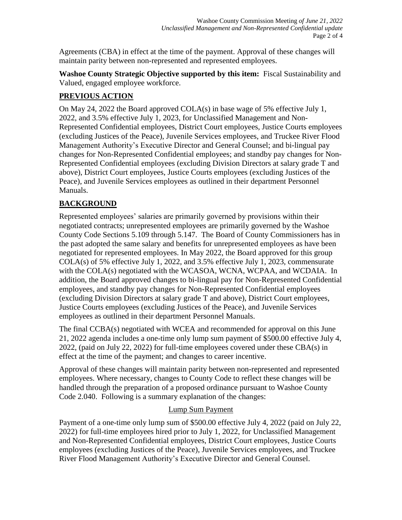Agreements (CBA) in effect at the time of the payment. Approval of these changes will maintain parity between non-represented and represented employees.

**Washoe County Strategic Objective supported by this item:** Fiscal Sustainability and Valued, engaged employee workforce.

# **PREVIOUS ACTION**

On May 24, 2022 the Board approved COLA(s) in base wage of 5% effective July 1, 2022, and 3.5% effective July 1, 2023, for Unclassified Management and Non-Represented Confidential employees, District Court employees, Justice Courts employees (excluding Justices of the Peace), Juvenile Services employees, and Truckee River Flood Management Authority's Executive Director and General Counsel; and bi-lingual pay changes for Non-Represented Confidential employees; and standby pay changes for Non-Represented Confidential employees (excluding Division Directors at salary grade T and above), District Court employees, Justice Courts employees (excluding Justices of the Peace), and Juvenile Services employees as outlined in their department Personnel Manuals.

# **BACKGROUND**

Represented employees' salaries are primarily governed by provisions within their negotiated contracts; unrepresented employees are primarily governed by the Washoe County Code Sections 5.109 through 5.147. The Board of County Commissioners has in the past adopted the same salary and benefits for unrepresented employees as have been negotiated for represented employees. In May 2022, the Board approved for this group COLA(s) of 5% effective July 1, 2022, and 3.5% effective July 1, 2023, commensurate with the COLA(s) negotiated with the WCASOA, WCNA, WCPAA, and WCDAIA. In addition, the Board approved changes to bi-lingual pay for Non-Represented Confidential employees, and standby pay changes for Non-Represented Confidential employees (excluding Division Directors at salary grade T and above), District Court employees, Justice Courts employees (excluding Justices of the Peace), and Juvenile Services employees as outlined in their department Personnel Manuals.

The final CCBA(s) negotiated with WCEA and recommended for approval on this June 21, 2022 agenda includes a one-time only lump sum payment of \$500.00 effective July 4, 2022, (paid on July 22, 2022) for full-time employees covered under these CBA(s) in effect at the time of the payment; and changes to career incentive.

Approval of these changes will maintain parity between non-represented and represented employees. Where necessary, changes to County Code to reflect these changes will be handled through the preparation of a proposed ordinance pursuant to Washoe County Code 2.040. Following is a summary explanation of the changes:

# Lump Sum Payment

Payment of a one-time only lump sum of \$500.00 effective July 4, 2022 (paid on July 22, 2022) for full-time employees hired prior to July 1, 2022, for Unclassified Management and Non-Represented Confidential employees, District Court employees, Justice Courts employees (excluding Justices of the Peace), Juvenile Services employees, and Truckee River Flood Management Authority's Executive Director and General Counsel.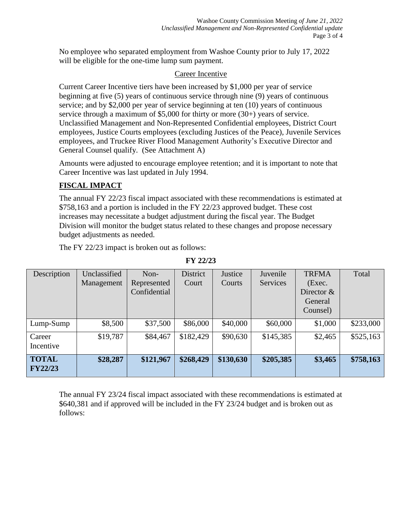No employee who separated employment from Washoe County prior to July 17, 2022 will be eligible for the one-time lump sum payment.

### Career Incentive

Current Career Incentive tiers have been increased by \$1,000 per year of service beginning at five (5) years of continuous service through nine (9) years of continuous service; and by \$2,000 per year of service beginning at ten (10) years of continuous service through a maximum of \$5,000 for thirty or more (30+) years of service. Unclassified Management and Non-Represented Confidential employees, District Court employees, Justice Courts employees (excluding Justices of the Peace), Juvenile Services employees, and Truckee River Flood Management Authority's Executive Director and General Counsel qualify. (See Attachment A)

Amounts were adjusted to encourage employee retention; and it is important to note that Career Incentive was last updated in July 1994.

### **FISCAL IMPACT**

The annual FY 22/23 fiscal impact associated with these recommendations is estimated at \$758,163 and a portion is included in the FY 22/23 approved budget. These cost increases may necessitate a budget adjustment during the fiscal year. The Budget Division will monitor the budget status related to these changes and propose necessary budget adjustments as needed.

The FY 22/23 impact is broken out as follows:

| Description    | Unclassified | Non-         | <b>District</b> | Justice   | Juvenile  | <b>TRFMA</b> | Total     |
|----------------|--------------|--------------|-----------------|-----------|-----------|--------------|-----------|
|                | Management   | Represented  | Court           | Courts    | Services  | (Exec.       |           |
|                |              | Confidential |                 |           |           | Director $&$ |           |
|                |              |              |                 |           |           | General      |           |
|                |              |              |                 |           |           | Counsel)     |           |
| Lump-Sump      | \$8,500      | \$37,500     | \$86,000        | \$40,000  | \$60,000  | \$1,000      | \$233,000 |
| Career         | \$19,787     | \$84,467     | \$182,429       | \$90,630  | \$145,385 | \$2,465      | \$525,163 |
| Incentive      |              |              |                 |           |           |              |           |
| <b>TOTAL</b>   | \$28,287     | \$121,967    | \$268,429       | \$130,630 | \$205,385 | \$3,465      | \$758,163 |
| <b>FY22/23</b> |              |              |                 |           |           |              |           |

The annual FY 23/24 fiscal impact associated with these recommendations is estimated at \$640,381 and if approved will be included in the FY 23/24 budget and is broken out as follows:

**FY 22/23**